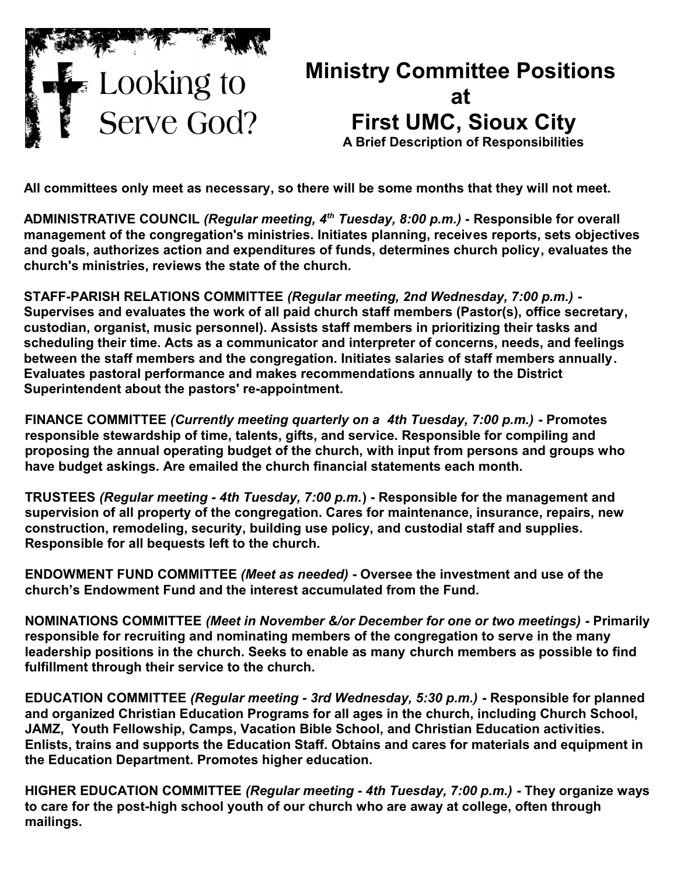

## **Ministry Committee Positions at First UMC, Sioux City A Brief Description of Responsibilities**

**All committees only meet as necessary, so there will be some months that they will not meet.**

**ADMINISTRATIVE COUNCIL** *(Regular meeting, 4th Tuesday, 8:00 p.m.) -* **Responsible for overall management of the congregation's ministries. Initiates planning, receives reports, sets objectives and goals, authorizes action and expenditures of funds, determines church policy, evaluates the church's ministries, reviews the state of the church.**

**STAFF-PARISH RELATIONS COMMITTEE** *(Regular meeting, 2nd Wednesday, 7:00 p.m.)* **- Supervises and evaluates the work of all paid church staff members (Pastor(s), office secretary, custodian, organist, music personnel). Assists staff members in prioritizing their tasks and scheduling their time. Acts as a communicator and interpreter of concerns, needs, and feelings between the staff members and the congregation. Initiates salaries of staff members annually. Evaluates pastoral performance and makes recommendations annually to the District Superintendent about the pastors' re-appointment.**

**FINANCE COMMITTEE** *(Currently meeting quarterly on a 4th Tuesday, 7:00 p.m.)* **- Promotes responsible stewardship of time, talents, gifts, and service. Responsible for compiling and proposing the annual operating budget of the church, with input from persons and groups who have budget askings. Are emailed the church financial statements each month.**

**TRUSTEES** *(Regular meeting - 4th Tuesday, 7:00 p.m.***) - Responsible for the management and supervision of all property of the congregation. Cares for maintenance, insurance, repairs, new construction, remodeling, security, building use policy, and custodial staff and supplies. Responsible for all bequests left to the church.**

**ENDOWMENT FUND COMMITTEE** *(Meet as needed)* **- Oversee the investment and use of the church's Endowment Fund and the interest accumulated from the Fund.**

**NOMINATIONS COMMITTEE** *(Meet in November &/or December for one or two meetings)* **- Primarily responsible for recruiting and nominating members of the congregation to serve in the many leadership positions in the church. Seeks to enable as many church members as possible to find fulfillment through their service to the church.**

**EDUCATION COMMITTEE** *(Regular meeting - 3rd Wednesday, 5:30 p.m.)* **- Responsible for planned and organized Christian Education Programs for all ages in the church, including Church School, JAMZ, Youth Fellowship, Camps, Vacation Bible School, and Christian Education activities. Enlists, trains and supports the Education Staff. Obtains and cares for materials and equipment in the Education Department. Promotes higher education.**

**HIGHER EDUCATION COMMITTEE** *(Regular meeting - 4th Tuesday, 7:00 p.m.)* **- They organize ways to care for the post-high school youth of our church who are away at college, often through mailings.**